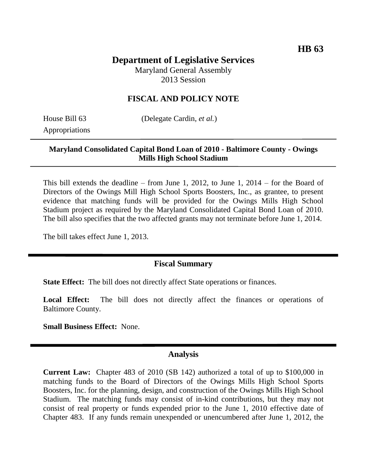# **Department of Legislative Services**

Maryland General Assembly 2013 Session

### **FISCAL AND POLICY NOTE**

Appropriations

House Bill 63 (Delegate Cardin, *et al.*)

#### **Maryland Consolidated Capital Bond Loan of 2010 - Baltimore County - Owings Mills High School Stadium**

This bill extends the deadline – from June 1, 2012, to June 1, 2014 – for the Board of Directors of the Owings Mill High School Sports Boosters, Inc., as grantee, to present evidence that matching funds will be provided for the Owings Mills High School Stadium project as required by the Maryland Consolidated Capital Bond Loan of 2010. The bill also specifies that the two affected grants may not terminate before June 1, 2014.

The bill takes effect June 1, 2013.

### **Fiscal Summary**

**State Effect:** The bill does not directly affect State operations or finances.

Local Effect: The bill does not directly affect the finances or operations of Baltimore County.

**Small Business Effect:** None.

#### **Analysis**

**Current Law:** Chapter 483 of 2010 (SB 142) authorized a total of up to \$100,000 in matching funds to the Board of Directors of the Owings Mills High School Sports Boosters, Inc. for the planning, design, and construction of the Owings Mills High School Stadium. The matching funds may consist of in-kind contributions, but they may not consist of real property or funds expended prior to the June 1, 2010 effective date of Chapter 483. If any funds remain unexpended or unencumbered after June 1, 2012, the